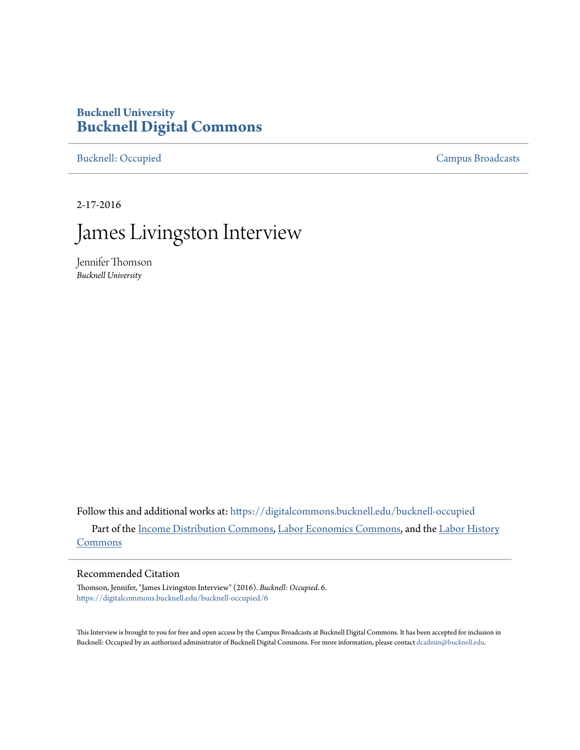# **Bucknell University [Bucknell Digital Commons](https://digitalcommons.bucknell.edu?utm_source=digitalcommons.bucknell.edu%2Fbucknell-occupied%2F6&utm_medium=PDF&utm_campaign=PDFCoverPages)**

[Bucknell: Occupied](https://digitalcommons.bucknell.edu/bucknell-occupied?utm_source=digitalcommons.bucknell.edu%2Fbucknell-occupied%2F6&utm_medium=PDF&utm_campaign=PDFCoverPages) [Campus Broadcasts](https://digitalcommons.bucknell.edu/campus-broadcasts?utm_source=digitalcommons.bucknell.edu%2Fbucknell-occupied%2F6&utm_medium=PDF&utm_campaign=PDFCoverPages)

2-17-2016

# James Livingston Interview

Jennifer Thomson *Bucknell University*

Follow this and additional works at: [https://digitalcommons.bucknell.edu/bucknell-occupied](https://digitalcommons.bucknell.edu/bucknell-occupied?utm_source=digitalcommons.bucknell.edu%2Fbucknell-occupied%2F6&utm_medium=PDF&utm_campaign=PDFCoverPages) Part of the [Income Distribution Commons,](http://network.bepress.com/hgg/discipline/1269?utm_source=digitalcommons.bucknell.edu%2Fbucknell-occupied%2F6&utm_medium=PDF&utm_campaign=PDFCoverPages) [Labor Economics Commons](http://network.bepress.com/hgg/discipline/349?utm_source=digitalcommons.bucknell.edu%2Fbucknell-occupied%2F6&utm_medium=PDF&utm_campaign=PDFCoverPages), and the [Labor History](http://network.bepress.com/hgg/discipline/1254?utm_source=digitalcommons.bucknell.edu%2Fbucknell-occupied%2F6&utm_medium=PDF&utm_campaign=PDFCoverPages) [Commons](http://network.bepress.com/hgg/discipline/1254?utm_source=digitalcommons.bucknell.edu%2Fbucknell-occupied%2F6&utm_medium=PDF&utm_campaign=PDFCoverPages)

# Recommended Citation

Thomson, Jennifer, "James Livingston Interview" (2016). *Bucknell: Occupied*. 6. [https://digitalcommons.bucknell.edu/bucknell-occupied/6](https://digitalcommons.bucknell.edu/bucknell-occupied/6?utm_source=digitalcommons.bucknell.edu%2Fbucknell-occupied%2F6&utm_medium=PDF&utm_campaign=PDFCoverPages)

This Interview is brought to you for free and open access by the Campus Broadcasts at Bucknell Digital Commons. It has been accepted for inclusion in Bucknell: Occupied by an authorized administrator of Bucknell Digital Commons. For more information, please contact [dcadmin@bucknell.edu](mailto:dcadmin@bucknell.edu).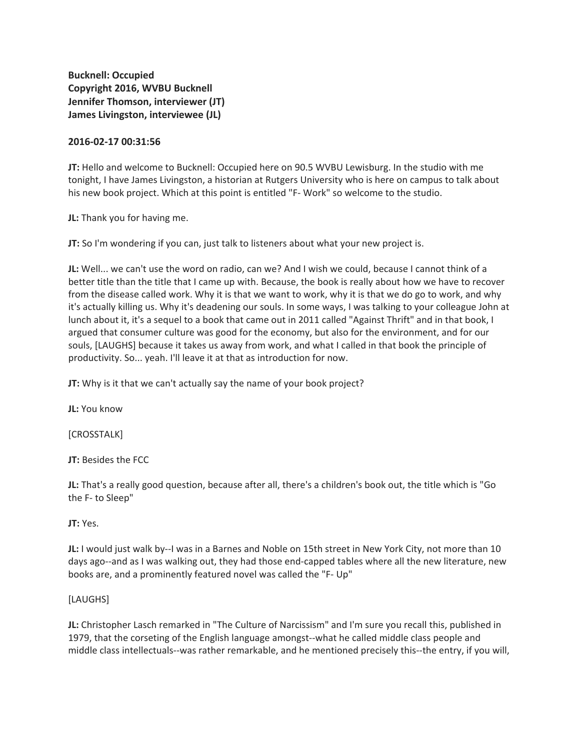**Bucknell: Occupied Copyright 2016, WVBU Bucknell Jennifer Thomson, interviewer (JT) James Livingston, interviewee (JL)**

# **2016-02-17 00:31:56**

**JT:** Hello and welcome to Bucknell: Occupied here on 90.5 WVBU Lewisburg. In the studio with me tonight, I have James Livingston, a historian at Rutgers University who is here on campus to talk about his new book project. Which at this point is entitled "F- Work" so welcome to the studio.

**JL:** Thank you for having me.

**JT:** So I'm wondering if you can, just talk to listeners about what your new project is.

**JL:** Well... we can't use the word on radio, can we? And I wish we could, because I cannot think of a better title than the title that I came up with. Because, the book is really about how we have to recover from the disease called work. Why it is that we want to work, why it is that we do go to work, and why it's actually killing us. Why it's deadening our souls. In some ways, I was talking to your colleague John at lunch about it, it's a sequel to a book that came out in 2011 called "Against Thrift" and in that book, I argued that consumer culture was good for the economy, but also for the environment, and for our souls, [LAUGHS] because it takes us away from work, and what I called in that book the principle of productivity. So... yeah. I'll leave it at that as introduction for now.

**JT:** Why is it that we can't actually say the name of your book project?

**JL:** You know

[CROSSTALK]

**JT:** Besides the FCC

**JL:** That's a really good question, because after all, there's a children's book out, the title which is "Go the F- to Sleep"

**JT:** Yes.

**JL:** I would just walk by--I was in a Barnes and Noble on 15th street in New York City, not more than 10 days ago--and as I was walking out, they had those end-capped tables where all the new literature, new books are, and a prominently featured novel was called the "F- Up"

# [LAUGHS]

**JL:** Christopher Lasch remarked in "The Culture of Narcissism" and I'm sure you recall this, published in 1979, that the corseting of the English language amongst--what he called middle class people and middle class intellectuals--was rather remarkable, and he mentioned precisely this--the entry, if you will,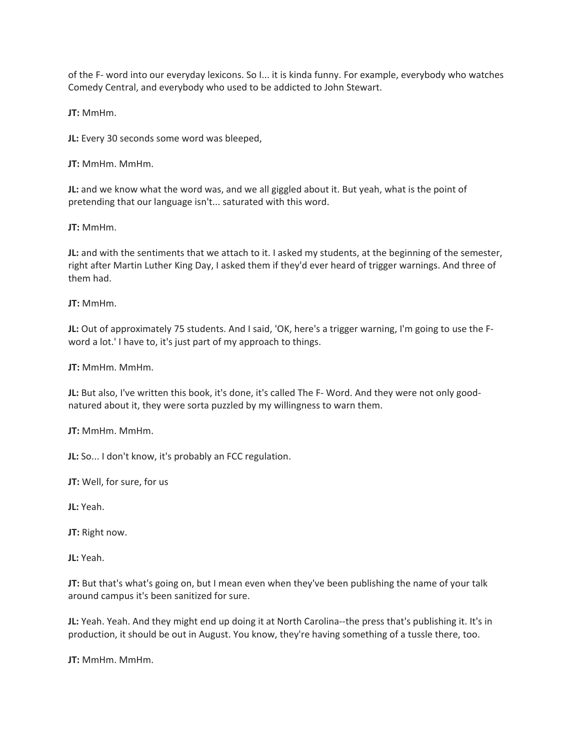of the F- word into our everyday lexicons. So I... it is kinda funny. For example, everybody who watches Comedy Central, and everybody who used to be addicted to John Stewart.

**JT:** MmHm.

**JL:** Every 30 seconds some word was bleeped,

**JT:** MmHm. MmHm.

**JL:** and we know what the word was, and we all giggled about it. But yeah, what is the point of pretending that our language isn't... saturated with this word.

**JT:** MmHm.

**JL:** and with the sentiments that we attach to it. I asked my students, at the beginning of the semester, right after Martin Luther King Day, I asked them if they'd ever heard of trigger warnings. And three of them had.

**JT:** MmHm.

**JL:** Out of approximately 75 students. And I said, 'OK, here's a trigger warning, I'm going to use the Fword a lot.' I have to, it's just part of my approach to things.

**JT:** MmHm. MmHm.

**JL:** But also, I've written this book, it's done, it's called The F- Word. And they were not only goodnatured about it, they were sorta puzzled by my willingness to warn them.

**JT:** MmHm. MmHm.

**JL:** So... I don't know, it's probably an FCC regulation.

**JT:** Well, for sure, for us

**JL:** Yeah.

**JT:** Right now.

**JL:** Yeah.

**JT:** But that's what's going on, but I mean even when they've been publishing the name of your talk around campus it's been sanitized for sure.

**JL:** Yeah. Yeah. And they might end up doing it at North Carolina--the press that's publishing it. It's in production, it should be out in August. You know, they're having something of a tussle there, too.

**JT:** MmHm. MmHm.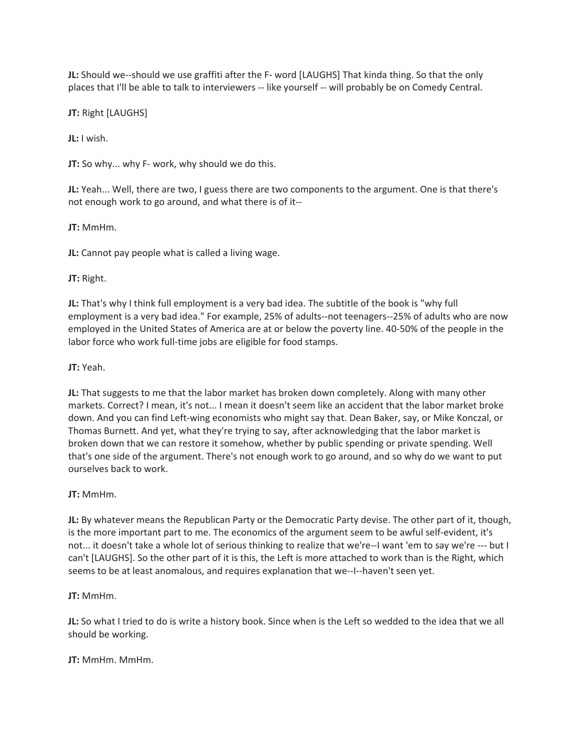**JL:** Should we--should we use graffiti after the F- word [LAUGHS] That kinda thing. So that the only places that I'll be able to talk to interviewers -- like yourself -- will probably be on Comedy Central.

**JT:** Right [LAUGHS]

**JL:** I wish.

**JT:** So why... why F- work, why should we do this.

**JL:** Yeah... Well, there are two, I guess there are two components to the argument. One is that there's not enough work to go around, and what there is of it--

**JT:** MmHm.

**JL:** Cannot pay people what is called a living wage.

# **JT:** Right.

**JL:** That's why I think full employment is a very bad idea. The subtitle of the book is "why full employment is a very bad idea." For example, 25% of adults--not teenagers--25% of adults who are now employed in the United States of America are at or below the poverty line. 40-50% of the people in the labor force who work full-time jobs are eligible for food stamps.

**JT:** Yeah.

**JL:** That suggests to me that the labor market has broken down completely. Along with many other markets. Correct? I mean, it's not... I mean it doesn't seem like an accident that the labor market broke down. And you can find Left-wing economists who might say that. Dean Baker, say, or Mike Konczal, or Thomas Burnett. And yet, what they're trying to say, after acknowledging that the labor market is broken down that we can restore it somehow, whether by public spending or private spending. Well that's one side of the argument. There's not enough work to go around, and so why do we want to put ourselves back to work.

# **JT:** MmHm.

**JL:** By whatever means the Republican Party or the Democratic Party devise. The other part of it, though, is the more important part to me. The economics of the argument seem to be awful self-evident, it's not... it doesn't take a whole lot of serious thinking to realize that we're--I want 'em to say we're --- but I can't [LAUGHS]. So the other part of it is this, the Left is more attached to work than is the Right, which seems to be at least anomalous, and requires explanation that we--I--haven't seen yet.

# **JT:** MmHm.

**JL:** So what I tried to do is write a history book. Since when is the Left so wedded to the idea that we all should be working.

**JT:** MmHm. MmHm.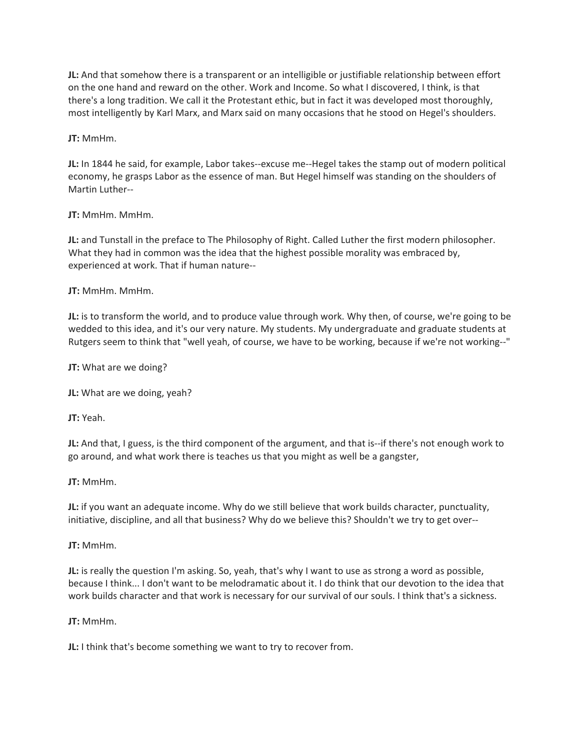**JL:** And that somehow there is a transparent or an intelligible or justifiable relationship between effort on the one hand and reward on the other. Work and Income. So what I discovered, I think, is that there's a long tradition. We call it the Protestant ethic, but in fact it was developed most thoroughly, most intelligently by Karl Marx, and Marx said on many occasions that he stood on Hegel's shoulders.

**JT:** MmHm.

**JL:** In 1844 he said, for example, Labor takes--excuse me--Hegel takes the stamp out of modern political economy, he grasps Labor as the essence of man. But Hegel himself was standing on the shoulders of Martin Luther--

# **JT:** MmHm. MmHm.

**JL:** and Tunstall in the preface to The Philosophy of Right. Called Luther the first modern philosopher. What they had in common was the idea that the highest possible morality was embraced by, experienced at work. That if human nature--

**JT:** MmHm. MmHm.

**JL:** is to transform the world, and to produce value through work. Why then, of course, we're going to be wedded to this idea, and it's our very nature. My students. My undergraduate and graduate students at Rutgers seem to think that "well yeah, of course, we have to be working, because if we're not working--"

**JT:** What are we doing?

**JL:** What are we doing, yeah?

**JT:** Yeah.

**JL:** And that, I guess, is the third component of the argument, and that is--if there's not enough work to go around, and what work there is teaches us that you might as well be a gangster,

**JT:** MmHm.

**JL:** if you want an adequate income. Why do we still believe that work builds character, punctuality, initiative, discipline, and all that business? Why do we believe this? Shouldn't we try to get over--

**JT:** MmHm.

**JL:** is really the question I'm asking. So, yeah, that's why I want to use as strong a word as possible, because I think... I don't want to be melodramatic about it. I do think that our devotion to the idea that work builds character and that work is necessary for our survival of our souls. I think that's a sickness.

**JT:** MmHm.

**JL:** I think that's become something we want to try to recover from.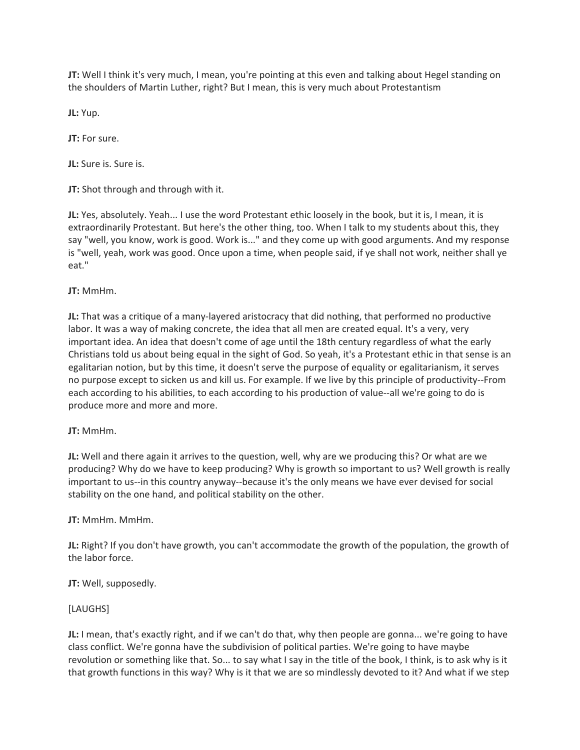**JT:** Well I think it's very much, I mean, you're pointing at this even and talking about Hegel standing on the shoulders of Martin Luther, right? But I mean, this is very much about Protestantism

**JL:** Yup.

**JT:** For sure.

**JL:** Sure is. Sure is.

**JT:** Shot through and through with it.

**JL:** Yes, absolutely. Yeah... I use the word Protestant ethic loosely in the book, but it is, I mean, it is extraordinarily Protestant. But here's the other thing, too. When I talk to my students about this, they say "well, you know, work is good. Work is..." and they come up with good arguments. And my response is "well, yeah, work was good. Once upon a time, when people said, if ye shall not work, neither shall ye eat."

# **JT:** MmHm.

**JL:** That was a critique of a many-layered aristocracy that did nothing, that performed no productive labor. It was a way of making concrete, the idea that all men are created equal. It's a very, very important idea. An idea that doesn't come of age until the 18th century regardless of what the early Christians told us about being equal in the sight of God. So yeah, it's a Protestant ethic in that sense is an egalitarian notion, but by this time, it doesn't serve the purpose of equality or egalitarianism, it serves no purpose except to sicken us and kill us. For example. If we live by this principle of productivity--From each according to his abilities, to each according to his production of value--all we're going to do is produce more and more and more.

# **JT:** MmHm.

**JL:** Well and there again it arrives to the question, well, why are we producing this? Or what are we producing? Why do we have to keep producing? Why is growth so important to us? Well growth is really important to us--in this country anyway--because it's the only means we have ever devised for social stability on the one hand, and political stability on the other.

# **JT:** MmHm. MmHm.

**JL:** Right? If you don't have growth, you can't accommodate the growth of the population, the growth of the labor force.

**JT:** Well, supposedly.

# [LAUGHS]

**JL:** I mean, that's exactly right, and if we can't do that, why then people are gonna... we're going to have class conflict. We're gonna have the subdivision of political parties. We're going to have maybe revolution or something like that. So... to say what I say in the title of the book, I think, is to ask why is it that growth functions in this way? Why is it that we are so mindlessly devoted to it? And what if we step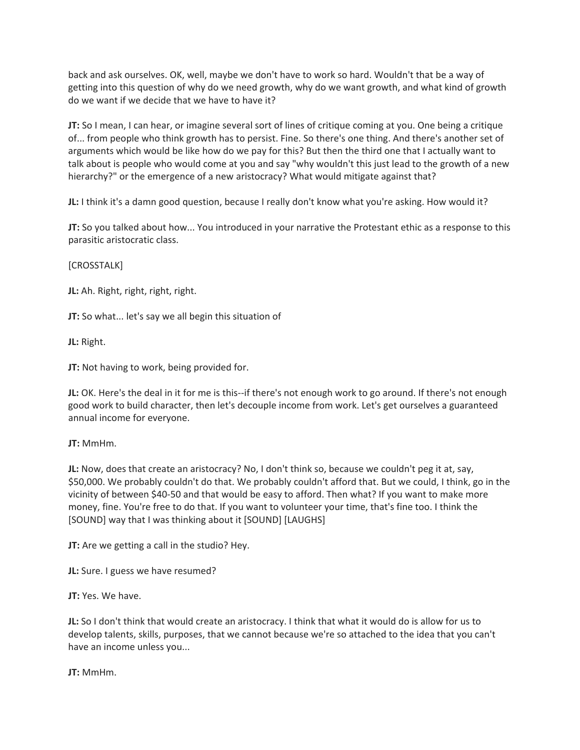back and ask ourselves. OK, well, maybe we don't have to work so hard. Wouldn't that be a way of getting into this question of why do we need growth, why do we want growth, and what kind of growth do we want if we decide that we have to have it?

**JT:** So I mean, I can hear, or imagine several sort of lines of critique coming at you. One being a critique of... from people who think growth has to persist. Fine. So there's one thing. And there's another set of arguments which would be like how do we pay for this? But then the third one that I actually want to talk about is people who would come at you and say "why wouldn't this just lead to the growth of a new hierarchy?" or the emergence of a new aristocracy? What would mitigate against that?

**JL:** I think it's a damn good question, because I really don't know what you're asking. How would it?

**JT:** So you talked about how... You introduced in your narrative the Protestant ethic as a response to this parasitic aristocratic class.

[CROSSTALK]

**JL:** Ah. Right, right, right, right.

**JT:** So what... let's say we all begin this situation of

**JL:** Right.

**JT:** Not having to work, being provided for.

**JL:** OK. Here's the deal in it for me is this--if there's not enough work to go around. If there's not enough good work to build character, then let's decouple income from work. Let's get ourselves a guaranteed annual income for everyone.

**JT:** MmHm.

**JL:** Now, does that create an aristocracy? No, I don't think so, because we couldn't peg it at, say, \$50,000. We probably couldn't do that. We probably couldn't afford that. But we could, I think, go in the vicinity of between \$40-50 and that would be easy to afford. Then what? If you want to make more money, fine. You're free to do that. If you want to volunteer your time, that's fine too. I think the [SOUND] way that I was thinking about it [SOUND] [LAUGHS]

**JT:** Are we getting a call in the studio? Hey.

**JL:** Sure. I guess we have resumed?

**JT:** Yes. We have.

**JL:** So I don't think that would create an aristocracy. I think that what it would do is allow for us to develop talents, skills, purposes, that we cannot because we're so attached to the idea that you can't have an income unless you...

**JT:** MmHm.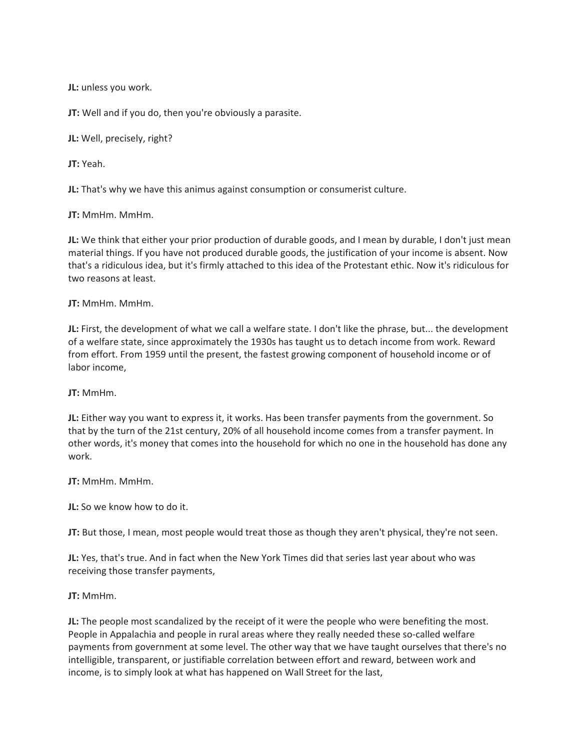**JL:** unless you work.

**JT:** Well and if you do, then you're obviously a parasite.

**JL:** Well, precisely, right?

**JT:** Yeah.

**JL:** That's why we have this animus against consumption or consumerist culture.

**JT:** MmHm. MmHm.

**JL:** We think that either your prior production of durable goods, and I mean by durable, I don't just mean material things. If you have not produced durable goods, the justification of your income is absent. Now that's a ridiculous idea, but it's firmly attached to this idea of the Protestant ethic. Now it's ridiculous for two reasons at least.

# **JT:** MmHm. MmHm.

**JL:** First, the development of what we call a welfare state. I don't like the phrase, but... the development of a welfare state, since approximately the 1930s has taught us to detach income from work. Reward from effort. From 1959 until the present, the fastest growing component of household income or of labor income,

**JT:** MmHm.

**JL:** Either way you want to express it, it works. Has been transfer payments from the government. So that by the turn of the 21st century, 20% of all household income comes from a transfer payment. In other words, it's money that comes into the household for which no one in the household has done any work.

**JT:** MmHm. MmHm.

**JL:** So we know how to do it.

**JT:** But those, I mean, most people would treat those as though they aren't physical, they're not seen.

**JL:** Yes, that's true. And in fact when the New York Times did that series last year about who was receiving those transfer payments,

# **JT:** MmHm.

**JL:** The people most scandalized by the receipt of it were the people who were benefiting the most. People in Appalachia and people in rural areas where they really needed these so-called welfare payments from government at some level. The other way that we have taught ourselves that there's no intelligible, transparent, or justifiable correlation between effort and reward, between work and income, is to simply look at what has happened on Wall Street for the last,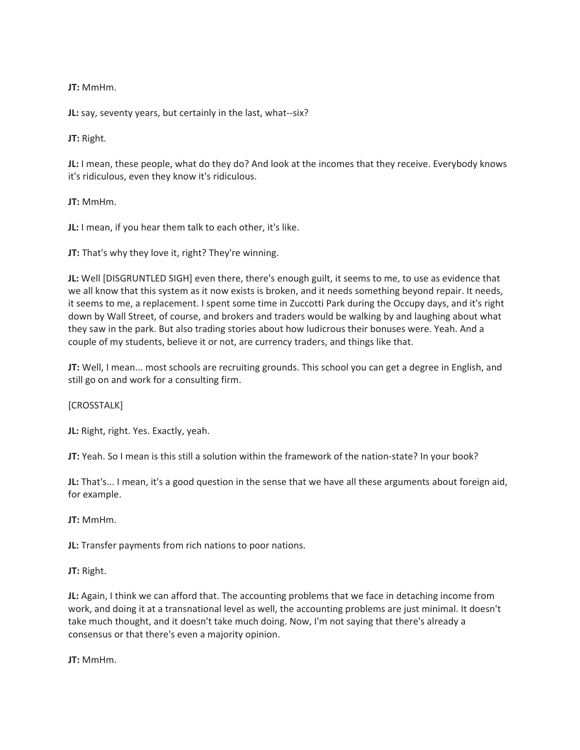**JT:** MmHm.

**JL:** say, seventy years, but certainly in the last, what--six?

**JT:** Right.

**JL:** I mean, these people, what do they do? And look at the incomes that they receive. Everybody knows it's ridiculous, even they know it's ridiculous.

**JT:** MmHm.

**JL:** I mean, if you hear them talk to each other, it's like.

**JT:** That's why they love it, right? They're winning.

**JL:** Well [DISGRUNTLED SIGH] even there, there's enough guilt, it seems to me, to use as evidence that we all know that this system as it now exists is broken, and it needs something beyond repair. It needs, it seems to me, a replacement. I spent some time in Zuccotti Park during the Occupy days, and it's right down by Wall Street, of course, and brokers and traders would be walking by and laughing about what they saw in the park. But also trading stories about how ludicrous their bonuses were. Yeah. And a couple of my students, believe it or not, are currency traders, and things like that.

**JT:** Well, I mean... most schools are recruiting grounds. This school you can get a degree in English, and still go on and work for a consulting firm.

[CROSSTALK]

**JL:** Right, right. Yes. Exactly, yeah.

**JT:** Yeah. So I mean is this still a solution within the framework of the nation-state? In your book?

**JL:** That's... I mean, it's a good question in the sense that we have all these arguments about foreign aid, for example.

**JT:** MmHm.

**JL:** Transfer payments from rich nations to poor nations.

**JT:** Right.

**JL:** Again, I think we can afford that. The accounting problems that we face in detaching income from work, and doing it at a transnational level as well, the accounting problems are just minimal. It doesn't take much thought, and it doesn't take much doing. Now, I'm not saying that there's already a consensus or that there's even a majority opinion.

**JT:** MmHm.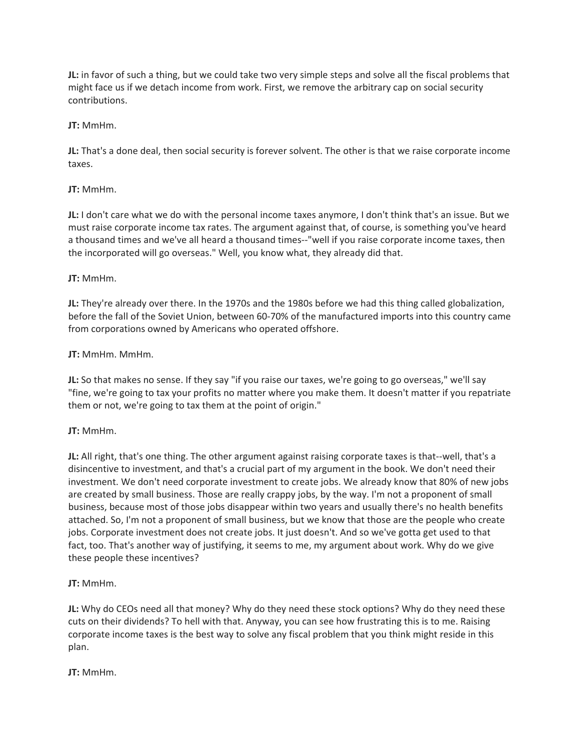**JL:** in favor of such a thing, but we could take two very simple steps and solve all the fiscal problems that might face us if we detach income from work. First, we remove the arbitrary cap on social security contributions.

# **JT:** MmHm.

**JL:** That's a done deal, then social security is forever solvent. The other is that we raise corporate income taxes.

# **JT:** MmHm.

**JL:** I don't care what we do with the personal income taxes anymore, I don't think that's an issue. But we must raise corporate income tax rates. The argument against that, of course, is something you've heard a thousand times and we've all heard a thousand times--"well if you raise corporate income taxes, then the incorporated will go overseas." Well, you know what, they already did that.

# **JT:** MmHm.

**JL:** They're already over there. In the 1970s and the 1980s before we had this thing called globalization, before the fall of the Soviet Union, between 60-70% of the manufactured imports into this country came from corporations owned by Americans who operated offshore.

# **JT:** MmHm. MmHm.

**JL:** So that makes no sense. If they say "if you raise our taxes, we're going to go overseas," we'll say "fine, we're going to tax your profits no matter where you make them. It doesn't matter if you repatriate them or not, we're going to tax them at the point of origin."

# **JT:** MmHm.

**JL:** All right, that's one thing. The other argument against raising corporate taxes is that--well, that's a disincentive to investment, and that's a crucial part of my argument in the book. We don't need their investment. We don't need corporate investment to create jobs. We already know that 80% of new jobs are created by small business. Those are really crappy jobs, by the way. I'm not a proponent of small business, because most of those jobs disappear within two years and usually there's no health benefits attached. So, I'm not a proponent of small business, but we know that those are the people who create jobs. Corporate investment does not create jobs. It just doesn't. And so we've gotta get used to that fact, too. That's another way of justifying, it seems to me, my argument about work. Why do we give these people these incentives?

# **JT:** MmHm.

**JL:** Why do CEOs need all that money? Why do they need these stock options? Why do they need these cuts on their dividends? To hell with that. Anyway, you can see how frustrating this is to me. Raising corporate income taxes is the best way to solve any fiscal problem that you think might reside in this plan.

# **JT:** MmHm.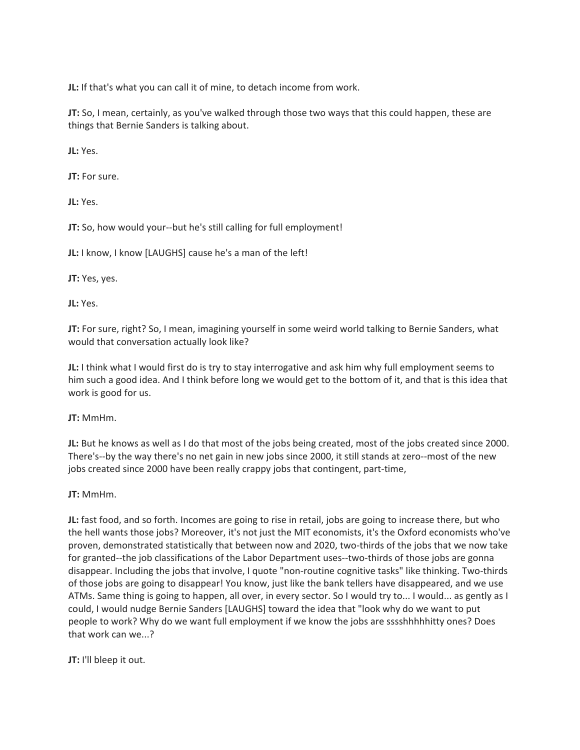**JL:** If that's what you can call it of mine, to detach income from work.

**JT:** So, I mean, certainly, as you've walked through those two ways that this could happen, these are things that Bernie Sanders is talking about.

**JL:** Yes.

**JT:** For sure.

**JL:** Yes.

**JT:** So, how would your--but he's still calling for full employment!

**JL:** I know, I know [LAUGHS] cause he's a man of the left!

**JT:** Yes, yes.

**JL:** Yes.

**JT:** For sure, right? So, I mean, imagining yourself in some weird world talking to Bernie Sanders, what would that conversation actually look like?

**JL:** I think what I would first do is try to stay interrogative and ask him why full employment seems to him such a good idea. And I think before long we would get to the bottom of it, and that is this idea that work is good for us.

**JT:** MmHm.

**JL:** But he knows as well as I do that most of the jobs being created, most of the jobs created since 2000. There's--by the way there's no net gain in new jobs since 2000, it still stands at zero--most of the new jobs created since 2000 have been really crappy jobs that contingent, part-time,

**JT:** MmHm.

**JL:** fast food, and so forth. Incomes are going to rise in retail, jobs are going to increase there, but who the hell wants those jobs? Moreover, it's not just the MIT economists, it's the Oxford economists who've proven, demonstrated statistically that between now and 2020, two-thirds of the jobs that we now take for granted--the job classifications of the Labor Department uses--two-thirds of those jobs are gonna disappear. Including the jobs that involve, I quote "non-routine cognitive tasks" like thinking. Two-thirds of those jobs are going to disappear! You know, just like the bank tellers have disappeared, and we use ATMs. Same thing is going to happen, all over, in every sector. So I would try to... I would... as gently as I could, I would nudge Bernie Sanders [LAUGHS] toward the idea that "look why do we want to put people to work? Why do we want full employment if we know the jobs are sssshhhhhitty ones? Does that work can we...?

**JT:** I'll bleep it out.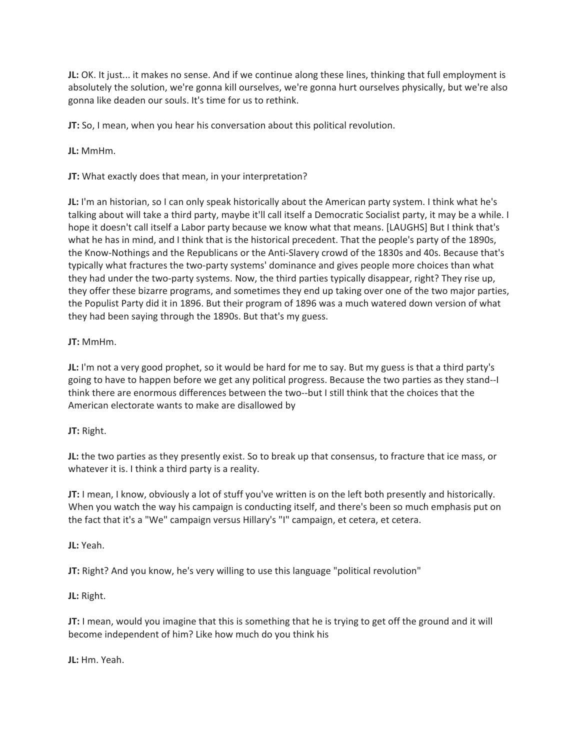**JL:** OK. It just... it makes no sense. And if we continue along these lines, thinking that full employment is absolutely the solution, we're gonna kill ourselves, we're gonna hurt ourselves physically, but we're also gonna like deaden our souls. It's time for us to rethink.

**JT:** So, I mean, when you hear his conversation about this political revolution.

**JL:** MmHm.

**JT:** What exactly does that mean, in your interpretation?

**JL:** I'm an historian, so I can only speak historically about the American party system. I think what he's talking about will take a third party, maybe it'll call itself a Democratic Socialist party, it may be a while. I hope it doesn't call itself a Labor party because we know what that means. [LAUGHS] But I think that's what he has in mind, and I think that is the historical precedent. That the people's party of the 1890s, the Know-Nothings and the Republicans or the Anti-Slavery crowd of the 1830s and 40s. Because that's typically what fractures the two-party systems' dominance and gives people more choices than what they had under the two-party systems. Now, the third parties typically disappear, right? They rise up, they offer these bizarre programs, and sometimes they end up taking over one of the two major parties, the Populist Party did it in 1896. But their program of 1896 was a much watered down version of what they had been saying through the 1890s. But that's my guess.

# **JT:** MmHm.

**JL:** I'm not a very good prophet, so it would be hard for me to say. But my guess is that a third party's going to have to happen before we get any political progress. Because the two parties as they stand--I think there are enormous differences between the two--but I still think that the choices that the American electorate wants to make are disallowed by

# **JT:** Right.

**JL:** the two parties as they presently exist. So to break up that consensus, to fracture that ice mass, or whatever it is. I think a third party is a reality.

**JT:** I mean, I know, obviously a lot of stuff you've written is on the left both presently and historically. When you watch the way his campaign is conducting itself, and there's been so much emphasis put on the fact that it's a "We" campaign versus Hillary's "I" campaign, et cetera, et cetera.

**JL:** Yeah.

**JT:** Right? And you know, he's very willing to use this language "political revolution"

**JL:** Right.

**JT:** I mean, would you imagine that this is something that he is trying to get off the ground and it will become independent of him? Like how much do you think his

**JL:** Hm. Yeah.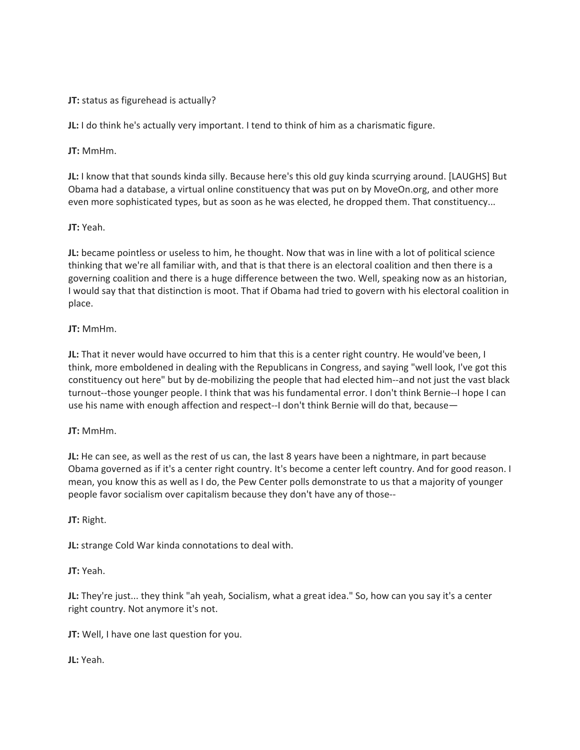# **JT:** status as figurehead is actually?

**JL:** I do think he's actually very important. I tend to think of him as a charismatic figure.

**JT:** MmHm.

**JL:** I know that that sounds kinda silly. Because here's this old guy kinda scurrying around. [LAUGHS] But Obama had a database, a virtual online constituency that was put on by MoveOn.org, and other more even more sophisticated types, but as soon as he was elected, he dropped them. That constituency...

# **JT:** Yeah.

**JL:** became pointless or useless to him, he thought. Now that was in line with a lot of political science thinking that we're all familiar with, and that is that there is an electoral coalition and then there is a governing coalition and there is a huge difference between the two. Well, speaking now as an historian, I would say that that distinction is moot. That if Obama had tried to govern with his electoral coalition in place.

# **JT:** MmHm.

**JL:** That it never would have occurred to him that this is a center right country. He would've been, I think, more emboldened in dealing with the Republicans in Congress, and saying "well look, I've got this constituency out here" but by de-mobilizing the people that had elected him--and not just the vast black turnout--those younger people. I think that was his fundamental error. I don't think Bernie--I hope I can use his name with enough affection and respect--I don't think Bernie will do that, because—

# **JT:** MmHm.

**JL:** He can see, as well as the rest of us can, the last 8 years have been a nightmare, in part because Obama governed as if it's a center right country. It's become a center left country. And for good reason. I mean, you know this as well as I do, the Pew Center polls demonstrate to us that a majority of younger people favor socialism over capitalism because they don't have any of those--

**JT:** Right.

**JL:** strange Cold War kinda connotations to deal with.

**JT:** Yeah.

**JL:** They're just... they think "ah yeah, Socialism, what a great idea." So, how can you say it's a center right country. Not anymore it's not.

**JT:** Well, I have one last question for you.

**JL:** Yeah.